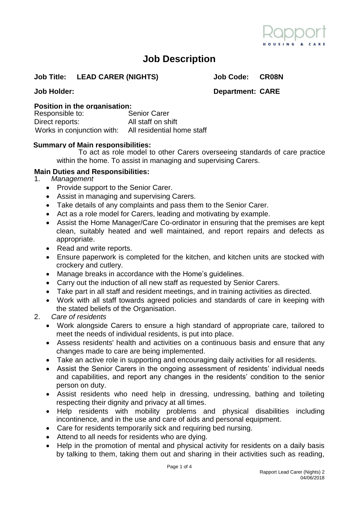

# **Job Description**

#### **Job Title: LEAD CARER (NIGHTS) Job Code: CR08N**

**Job Holder: Department: CARE**

# **Position in the organisation:**<br>Responsible to: **Senior Carer**

Responsible to: Direct reports: All staff on shift Works in conjunction with: All residential home staff

### **Summary of Main responsibilities:**

To act as role model to other Carers overseeing standards of care practice within the home. To assist in managing and supervising Carers.

### **Main Duties and Responsibilities:**

- 1. *Management*
	- Provide support to the Senior Carer.
	- Assist in managing and supervising Carers.
	- Take details of any complaints and pass them to the Senior Carer.
	- Act as a role model for Carers, leading and motivating by example.
	- Assist the Home Manager/Care Co-ordinator in ensuring that the premises are kept clean, suitably heated and well maintained, and report repairs and defects as appropriate.
	- Read and write reports.
	- Ensure paperwork is completed for the kitchen, and kitchen units are stocked with crockery and cutlery.
	- Manage breaks in accordance with the Home's guidelines.
	- Carry out the induction of all new staff as requested by Senior Carers.
	- Take part in all staff and resident meetings, and in training activities as directed.
	- Work with all staff towards agreed policies and standards of care in keeping with the stated beliefs of the Organisation.
- 2. *Care of residents*
	- Work alongside Carers to ensure a high standard of appropriate care, tailored to meet the needs of individual residents, is put into place.
	- Assess residents' health and activities on a continuous basis and ensure that any changes made to care are being implemented.
	- Take an active role in supporting and encouraging daily activities for all residents.
	- Assist the Senior Carers in the ongoing assessment of residents' individual needs and capabilities, and report any changes in the residents' condition to the senior person on duty.
	- Assist residents who need help in dressing, undressing, bathing and toileting respecting their dignity and privacy at all times.
	- Help residents with mobility problems and physical disabilities including incontinence, and in the use and care of aids and personal equipment.
	- Care for residents temporarily sick and requiring bed nursing.
	- Attend to all needs for residents who are dying.
	- Help in the promotion of mental and physical activity for residents on a daily basis by talking to them, taking them out and sharing in their activities such as reading,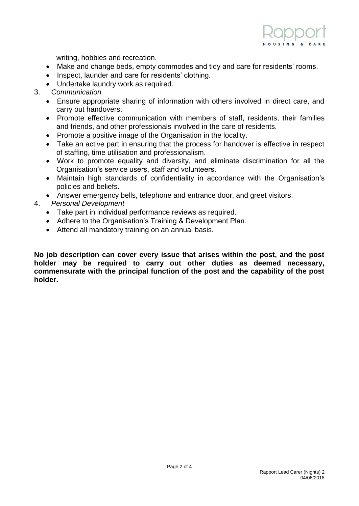

writing, hobbies and recreation.

- Make and change beds, empty commodes and tidy and care for residents' rooms.
- Inspect, launder and care for residents' clothing.
- Undertake laundry work as required.
- 3. *Communication*
	- Ensure appropriate sharing of information with others involved in direct care, and carry out handovers.
	- Promote effective communication with members of staff, residents, their families and friends, and other professionals involved in the care of residents.
	- Promote a positive image of the Organisation in the locality.
	- Take an active part in ensuring that the process for handover is effective in respect of staffing, time utilisation and professionalism.
	- Work to promote equality and diversity, and eliminate discrimination for all the Organisation's service users, staff and volunteers.
	- Maintain high standards of confidentiality in accordance with the Organisation's policies and beliefs.
	- Answer emergency bells, telephone and entrance door, and greet visitors.
- 4. *Personal Development*
	- Take part in individual performance reviews as required.
	- Adhere to the Organisation's Training & Development Plan.
	- Attend all mandatory training on an annual basis.

**No job description can cover every issue that arises within the post, and the post holder may be required to carry out other duties as deemed necessary, commensurate with the principal function of the post and the capability of the post holder.**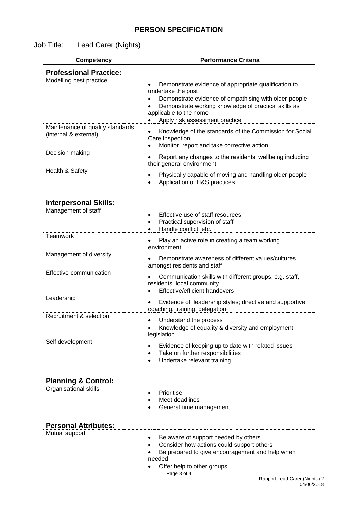### **PERSON SPECIFICATION**

## Job Title: Lead Carer (Nights)

| <b>Competency</b>                                         | <b>Performance Criteria</b>                                                                                                                                                                                                                                          |
|-----------------------------------------------------------|----------------------------------------------------------------------------------------------------------------------------------------------------------------------------------------------------------------------------------------------------------------------|
| <b>Professional Practice:</b>                             |                                                                                                                                                                                                                                                                      |
| Modelling best practice                                   | Demonstrate evidence of appropriate qualification to<br>$\bullet$<br>undertake the post<br>Demonstrate evidence of empathising with older people<br>Demonstrate working knowledge of practical skills as<br>applicable to the home<br>Apply risk assessment practice |
| Maintenance of quality standards<br>(internal & external) | Knowledge of the standards of the Commission for Social<br>$\bullet$<br>Care Inspection<br>Monitor, report and take corrective action                                                                                                                                |
| Decision making                                           | Report any changes to the residents' wellbeing including<br>$\bullet$<br>their general environment                                                                                                                                                                   |
| Health & Safety                                           | Physically capable of moving and handling older people<br>$\bullet$<br>Application of H&S practices<br>$\bullet$                                                                                                                                                     |
| <b>Interpersonal Skills:</b>                              |                                                                                                                                                                                                                                                                      |
| Management of staff                                       | Effective use of staff resources<br>$\bullet$<br>Practical supervision of staff<br>$\bullet$<br>Handle conflict, etc.<br>$\bullet$                                                                                                                                   |
| Teamwork                                                  | Play an active role in creating a team working<br>$\bullet$<br>environment                                                                                                                                                                                           |
| Management of diversity                                   | Demonstrate awareness of different values/cultures<br>$\bullet$<br>amongst residents and staff                                                                                                                                                                       |
| <b>Effective communication</b>                            | Communication skills with different groups, e.g. staff,<br>residents, local community<br>Effective/efficient handovers<br>$\bullet$                                                                                                                                  |
| Leadership                                                | Evidence of leadership styles; directive and supportive<br>$\bullet$<br>coaching, training, delegation                                                                                                                                                               |
| Recruitment & selection                                   | Understand the process<br>$\bullet$<br>Knowledge of equality & diversity and employment<br>legislation                                                                                                                                                               |
| Self development                                          | Evidence of keeping up to date with related issues<br>$\bullet$<br>Take on further responsibilities<br>$\bullet$<br>Undertake relevant training<br>$\bullet$                                                                                                         |
| <b>Planning &amp; Control:</b>                            |                                                                                                                                                                                                                                                                      |
| Organisational skills                                     | Prioritise<br>$\bullet$<br>Meet deadlines<br>$\bullet$<br>General time management                                                                                                                                                                                    |
| <b>Personal Attributes:</b>                               |                                                                                                                                                                                                                                                                      |
| Mutual support                                            | Be aware of support needed by others<br>$\bullet$<br>Consider how actions could support others                                                                                                                                                                       |

Page 3 of 4 • Offer help to other groups

needed

Be prepared to give encouragement and help when